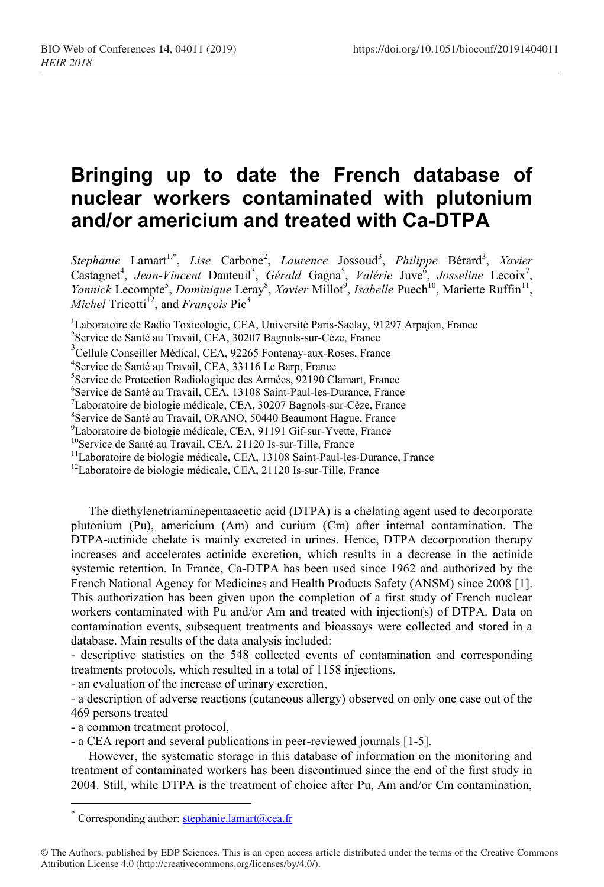## **Bringing up to date the French database of nuclear workers contaminated with plutonium and/or americium and treated with Ca-DTPA**

Stephanie Lamart<sup>1,\*</sup>, *Lise* Carbone<sup>2</sup>, *Laurence* Jossoud<sup>3</sup>, *Philippe* Bérard<sup>3</sup>, *Xavier* Castagnet<sup>4</sup>, Jean-Vincent Dauteuil<sup>3</sup>, Gérald Gagna<sup>5</sup>, Valérie Juve<sup>6</sup>, Josseline Lecoix<sup>7</sup>, Yannick Lecompte<sup>5</sup>, *Dominique* Leray<sup>8</sup>, *Xavier* Millot<sup>9</sup>, *Isabelle* Puech<sup>10</sup>, Mariette Ruffin<sup>11</sup>, *Michel* Tricotti<sup>12</sup>, and *François* Pic<sup>3</sup>

<sup>1</sup>Laboratoire de Radio Toxicologie, CEA, Université Paris-Saclay, 91297 Arpajon, France

6 Service de Santé au Travail, CEA, 13108 Saint-Paul-les-Durance, France

 $\textsuperscript{7}$ Laboratoire de biologie médicale, CEA, 30207 Bagnols-sur-Cèze, France

8 Service de Santé au Travail, ORANO, 50440 Beaumont Hague, France

<sup>9</sup>Laboratoire de biologie médicale, CEA, 91191 Gif-sur-Yvette, France

<sup>10</sup>Service de Santé au Travail, CEA, 21120 Is-sur-Tille, France

<sup>11</sup>Laboratoire de biologie médicale, CEA, 13108 Saint-Paul-les-Durance, France

 $12$ Laboratoire de biologie médicale, CEA, 21120 Is-sur-Tille, France

The diethylenetriaminepentaacetic acid (DTPA) is a chelating agent used to decorporate plutonium (Pu), americium (Am) and curium (Cm) after internal contamination. The DTPA-actinide chelate is mainly excreted in urines. Hence, DTPA decorporation therapy increases and accelerates actinide excretion, which results in a decrease in the actinide systemic retention. In France, Ca-DTPA has been used since 1962 and authorized by the French National Agency for Medicines and Health Products Safety (ANSM) since 2008 [\[1\]](#page-1-0). This authorization has been given upon the completion of a first study of French nuclear workers contaminated with Pu and/or Am and treated with injection(s) of DTPA. Data on contamination events, subsequent treatments and bioassays were collected and stored in a database. Main results of the data analysis included:

- descriptive statistics on the 548 collected events of contamination and corresponding treatments protocols, which resulted in a total of 1158 injections,

- an evaluation of the increase of urinary excretion,

- a description of adverse reactions (cutaneous allergy) observed on only one case out of the 469 persons treated

- a common treatment protocol,

 $\overline{a}$ 

- a CEA report and several publications in peer-reviewed journals [\[1-5\]](#page-1-0).

However, the systematic storage in this database of information on the monitoring and treatment of contaminated workers has been discontinued since the end of the first study in 2004. Still, while DTPA is the treatment of choice after Pu, Am and/or Cm contamination,

<sup>2</sup> Service de Santé au Travail, CEA, 30207 Bagnols-sur-Cèze, France

<sup>3</sup> Cellule Conseiller Médical, CEA, 92265 Fontenay-aux-Roses, France

<sup>4</sup> Service de Santé au Travail, CEA, 33116 Le Barp, France

<sup>&</sup>lt;sup>5</sup>Service de Protection Radiologique des Armées, 92190 Clamart, France

<sup>\*</sup> Corresponding author: [stephanie.lamart@cea.fr](mailto:stephanie.lamart@cea.fr)

<sup>©</sup> The Authors, published by EDP Sciences. This is an open access article distributed under the terms of the Creative Commons Attribution License 4.0 (http://creativecommons.org/licenses/by/4.0/).